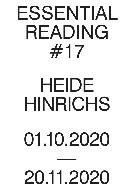# ESSENTIAL READING #17

## HEIDE HINRICHS

## 01.10.2020

—

### 20.11.2020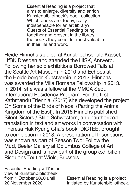Essential Reading is a project that aims to enlarge, diversify and enrich Kunstenbibliotheek's book collection. Which books are, today, really indispensable for an art library? Guests of Essential Reading bring together and present in the library the books they consider most valuable in their life and work.

Heide Hinrichs studied at Kunsthochschule Kassel, HfBK Dresden and attended the HISK, Antwerp. Following her solo exhibitions Borrowed Tails at the Seattle Art Museum in 2010 and Echoes at the Heidelberger Kunstverein in 2012, Hinrichs was awarded the Villa Romana Fellowship in 2013. In 2014, she was a fellow at the MMCA Seoul International Residency Program. For the first Kathmandu Triennial (2017) she developed the project On Some of the Birds of Nepal (Parting the Animal Kingdom of the East). In 2018 Hinrichs published Silent Sisters / Stille Schwestern, an unauthorized translation in text and art works in conversation with Theresa Hak Kyung Cha's book, DICTEE, brought to completion in 2018. A presentation of Inscriptions was shown as part of Season Two: Follow the

### Mud, Beeler Gallery at Columbus College of Art and Design and is now part of the group exhibition Risquons-Tout at Wiels, Brussels.

Essential Reading #17 is on view at Kunstenbibliotheek from 1 October 2020 until 20 November 2020.

Essential Reading is a project initiated by Kunstenbibliotheek.